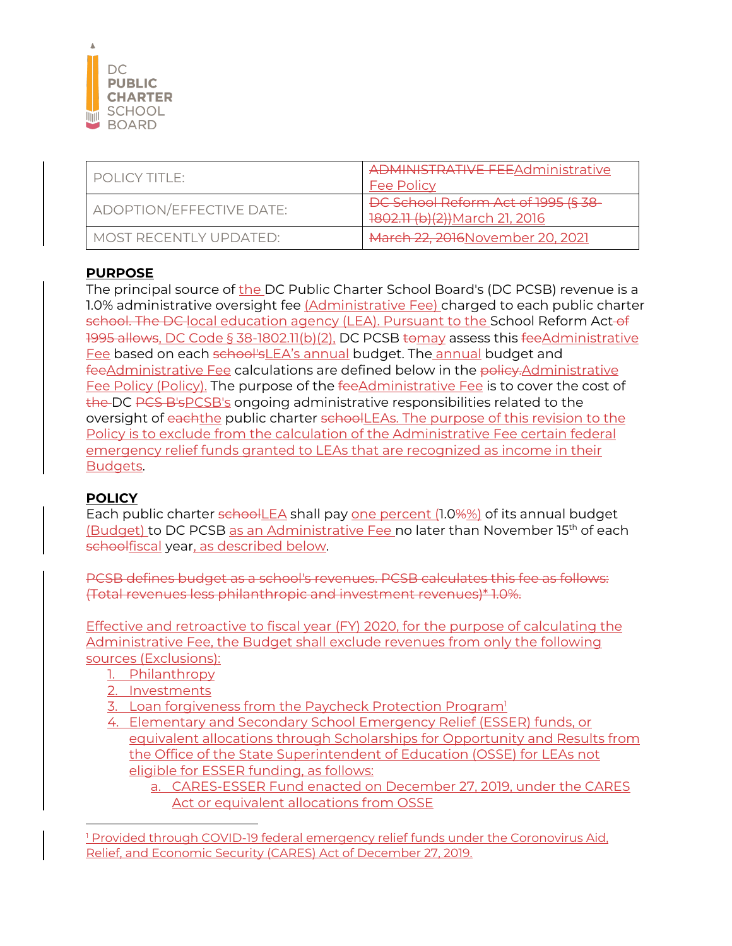

| POLICY TITLE:            | <b>ADMINISTRATIVE FEEAdministrative</b><br><b>Fee Policy</b>         |
|--------------------------|----------------------------------------------------------------------|
| ADOPTION/EFFECTIVE DATE: | DC School Reform Act of 1995 (§ 38<br>1802.11 (b)(2)) March 21, 2016 |
| MOST RECENTI Y UPDATED:  | March 22, 2016 November 20, 2021                                     |

## **PURPOSE**

The principal source of the DC Public Charter School Board's (DC PCSB) revenue is a 1.0% administrative oversight fee (Administrative Fee) charged to each public charter school. The DC local education agency (LEA). Pursuant to the School Reform Act-of 1995 allows, DC Code § 38-1802.11(b)(2), DC PCSB tomay assess this fee Administrative Fee based on each school'sLEA's annual budget. The annual budget and feeAdministrative Fee calculations are defined below in the policy.Administrative Fee Policy (Policy). The purpose of the fee Administrative Fee is to cover the cost of the DC PCS B's PCSB's ongoing administrative responsibilities related to the oversight of eachthe public charter schoolLEAs. The purpose of this revision to the Policy is to exclude from the calculation of the Administrative Fee certain federal emergency relief funds granted to LEAs that are recognized as income in their Budgets.

## **POLICY**

Each public charter schoolLEA shall pay one percent (1.0%%) of its annual budget (Budget) to DC PCSB as an Administrative Fee no later than November 15th of each schoolfiscal year, as described below.

PCSB defines budget as a school's revenues. PCSB calculates this fee as follows: (Total revenues less philanthropic and investment revenues)\* 1.0%.

Effective and retroactive to fiscal year (FY) 2020, for the purpose of calculating the Administrative Fee, the Budget shall exclude revenues from only the following sources (Exclusions):

- 1. Philanthropy
- 2. Investments
- 3. Loan forgiveness from the Paycheck Protection Program<sup>1</sup>
- 4. Elementary and Secondary School Emergency Relief (ESSER) funds, or equivalent allocations through Scholarships for Opportunity and Results from the Office of the State Superintendent of Education (OSSE) for LEAs not eligible for ESSER funding, as follows:

a. CARES-ESSER Fund enacted on December 27, 2019, under the CARES Act or equivalent allocations from OSSE

<sup>1</sup> Provided through COVID-19 federal emergency relief funds under the Coronovirus Aid, Relief, and Economic Security (CARES) Act of December 27, 2019.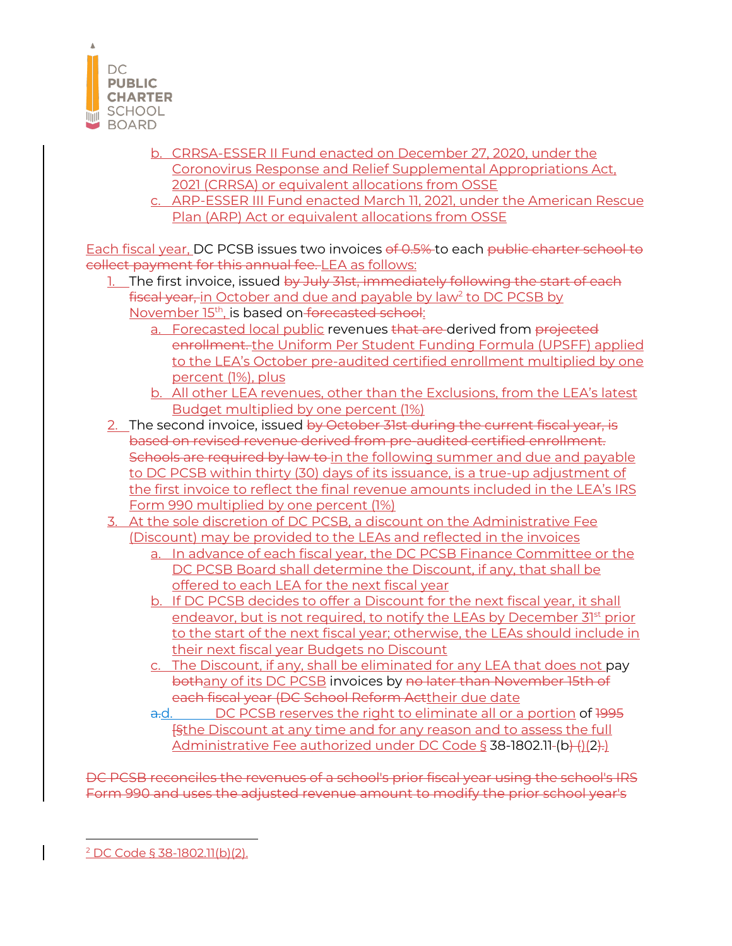

- b. CRRSA-ESSER II Fund enacted on December 27, 2020, under the Coronovirus Response and Relief Supplemental Appropriations Act, 2021 (CRRSA) or equivalent allocations from OSSE
- c. ARP-ESSER III Fund enacted March 11, 2021, under the American Rescue Plan (ARP) Act or equivalent allocations from OSSE

Each fiscal year, DC PCSB issues two invoices of 0.5% to each public charter school to collect payment for this annual fee. LEA as follows:

- 1. The first invoice, issued by July 31st, immediately following the start of each fiscal year, in October and due and payable by law<sup>2</sup> to DC PCSB by November 15<sup>th</sup>, is based on forecasted school:
	- a. Forecasted local public revenues that are derived from projected enrollment. the Uniform Per Student Funding Formula (UPSFF) applied to the LEA's October pre-audited certified enrollment multiplied by one percent (1%), plus
	- b. All other LEA revenues, other than the Exclusions, from the LEA's latest Budget multiplied by one percent (1%)
- 2. The second invoice, issued by October 31st during the current fiscal year, is based on revised revenue derived from pre-audited certified enrollment. Schools are required by law to in the following summer and due and payable to DC PCSB within thirty (30) days of its issuance, is a true-up adjustment of the first invoice to reflect the final revenue amounts included in the LEA's IRS Form 990 multiplied by one percent (1%)
- 3. At the sole discretion of DC PCSB, a discount on the Administrative Fee (Discount) may be provided to the LEAs and reflected in the invoices
	- a. In advance of each fiscal year, the DC PCSB Finance Committee or the DC PCSB Board shall determine the Discount, if any, that shall be offered to each LEA for the next fiscal year
	- b. If DC PCSB decides to offer a Discount for the next fiscal year, it shall endeavor, but is not required, to notify the LEAs by December  $31<sup>st</sup>$  prior to the start of the next fiscal year; otherwise, the LEAs should include in their next fiscal year Budgets no Discount
	- c. The Discount, if any, shall be eliminated for any LEA that does not pay bothany of its DC PCSB invoices by no later than November 15th of each fiscal year (DC School Reform Acttheir due date
	- a.d. DC PCSB reserves the right to eliminate all or a portion of 1995 **[§the Discount at any time and for any reason and to assess the full** Administrative Fee authorized under DC Code § 38-1802.11-(b)-(1(2).)

DC PCSB reconciles the revenues of a school's prior fiscal year using the school's IRS Form 990 and uses the adjusted revenue amount to modify the prior school year's

<sup>2</sup> DC Code § 38-1802.11(b)(2).